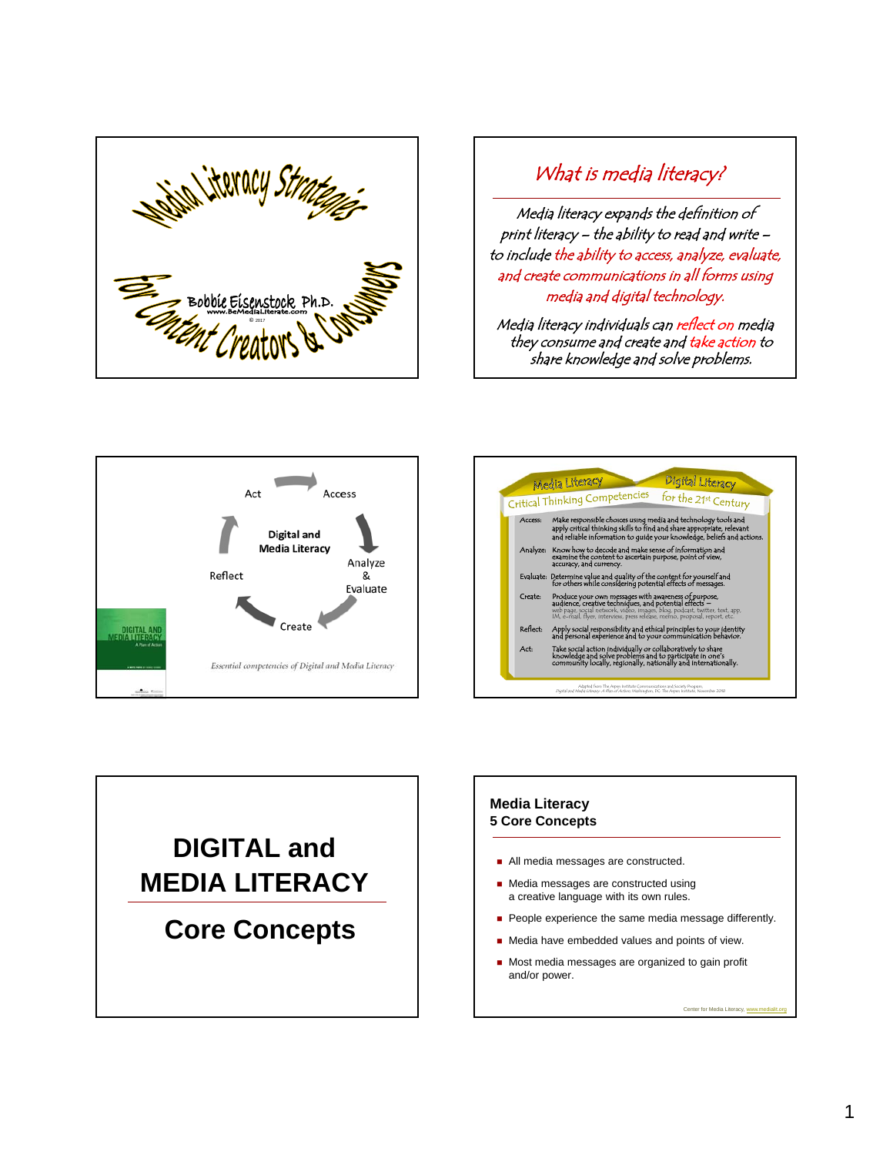

## What is media literacy?

Media literacy expands the definition of print literacy – the ability to read and write – to include the ability to access, analyze, evaluate, and create communications in all forms using media and digital technology.

Media literacy individuals can reflect on media they consume and create and take action to share knowledge and solve problems.







### **Media Literacy 5 Core Concepts**

- All media messages are constructed.
- **Media messages are constructed using** a creative language with its own rules.
- People experience the same media message differently.
- Media have embedded values and points of view.
- Most media messages are organized to gain profit and/or power.

Center for Media Literacy, www.medialit.org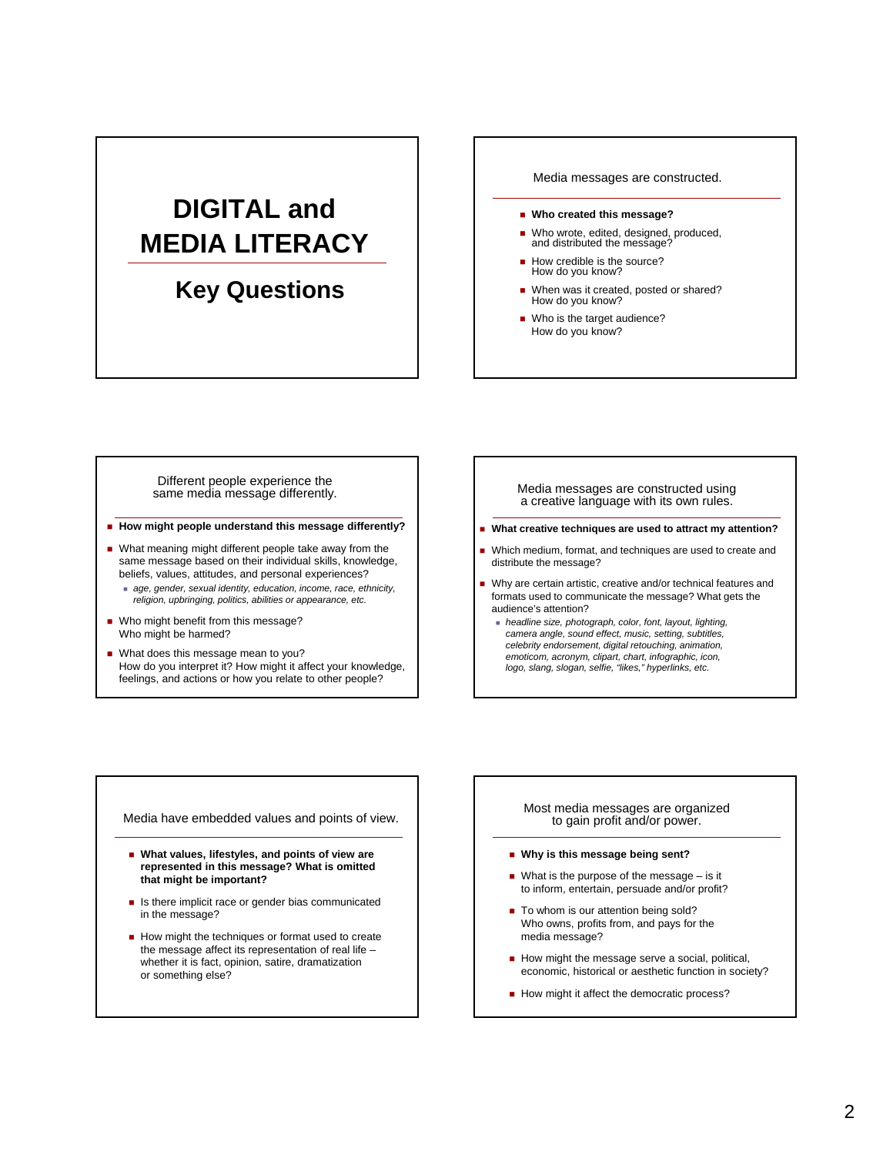# **DIGITAL and MEDIA LITERACY**

## 6 **Key Questions**

#### Media messages are constructed.

- **Who created this message?**
- Who wrote, edited, designed, produced, and distributed the message?
- How credible is the source? How do you know?
- When was it created, posted or shared? How do you know?
- Who is the target audience? How do you know?

Different people experience the same media message differently.

- **How might people understand this message differently?**
- What meaning might different people take away from the same message based on their individual skills, knowledge, beliefs, values, attitudes, and personal experiences?
	- *age, gender, sexual identity, education, income, race, ethnicity, religion, upbringing, politics, abilities or appearance, etc.*
- Who might benefit from this message? Who might be harmed?
- What does this message mean to you? How do you interpret it? How might it affect your knowledge, feelings, and actions or how you relate to other people?

Media messages are constructed using a creative language with its own rules.

- **What creative techniques are used to attract my attention?**
- Which medium, format, and techniques are used to create and distribute the message?
- Why are certain artistic, creative and/or technical features and formats used to communicate the message? What gets the audience's attention?
	- *headline size, photograph, color, font, layout, lighting, camera angle, sound effect, music, setting, subtitles, celebrity endorsement, digital retouching, animation, emoticom, acronym, clipart, chart, infographic, icon, logo, slang, slogan, selfie, "likes," hyperlinks, etc.*

Media have embedded values and points of view.

- **What values, lifestyles, and points of view are represented in this message? What is omitted that might be important?**
- Is there implicit race or gender bias communicated in the message?
- How might the techniques or format used to create the message affect its representation of real life – whether it is fact, opinion, satire, dramatization or something else?

#### Most media messages are organized to gain profit and/or power.

- **Why is this message being sent?**
- What is the purpose of the message  $-$  is it to inform, entertain, persuade and/or profit?
- To whom is our attention being sold? Who owns, profits from, and pays for the media message?
- How might the message serve a social, political, economic, historical or aesthetic function in society?
- How might it affect the democratic process?